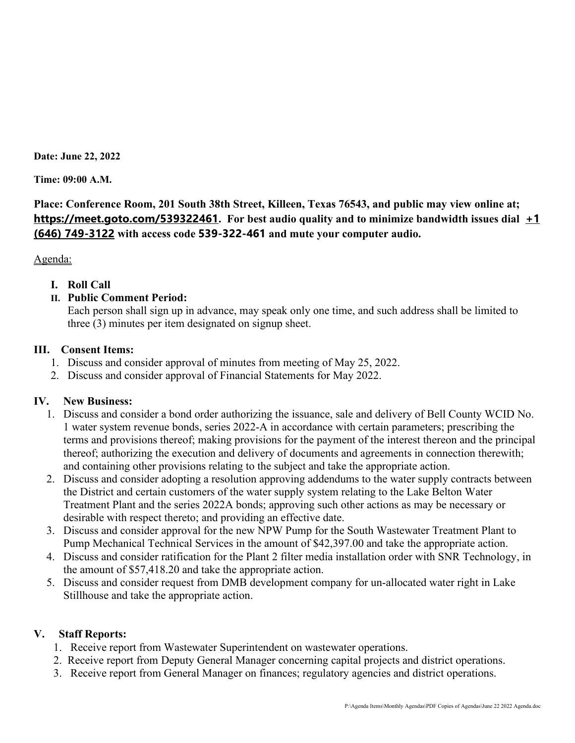**Date: June 22, 2022**

**Time: 09:00 A.M.**

**Place: Conference Room, 201 South 38th Street, Killeen, Texas 76543, and public may view online at; <https://meet.goto.com/539322461>. For best audio quality and to minimize bandwidth issues dial [+1](tel:+16467493122,,539322461)  [\(646\) 749-3122](tel:+16467493122,,539322461) with access code 539-322-461 and mute your computer audio.**

Agenda:

**I. Roll Call**

# **II. Public Comment Period:**

Each person shall sign up in advance, may speak only one time, and such address shall be limited to three (3) minutes per item designated on signup sheet.

## **III. Consent Items:**

- 1. Discuss and consider approval of minutes from meeting of May 25, 2022.
- 2. Discuss and consider approval of Financial Statements for May 2022.

## **IV. New Business:**

- 1. Discuss and consider a bond order authorizing the issuance, sale and delivery of Bell County WCID No. 1 water system revenue bonds, series 2022-A in accordance with certain parameters; prescribing the terms and provisions thereof; making provisions for the payment of the interest thereon and the principal thereof; authorizing the execution and delivery of documents and agreements in connection therewith; and containing other provisions relating to the subject and take the appropriate action.
- 2. Discuss and consider adopting a resolution approving addendums to the water supply contracts between the District and certain customers of the water supply system relating to the Lake Belton Water Treatment Plant and the series 2022A bonds; approving such other actions as may be necessary or desirable with respect thereto; and providing an effective date.
- 3. Discuss and consider approval for the new NPW Pump for the South Wastewater Treatment Plant to Pump Mechanical Technical Services in the amount of \$42,397.00 and take the appropriate action.
- 4. Discuss and consider ratification for the Plant 2 filter media installation order with SNR Technology, in the amount of \$57,418.20 and take the appropriate action.
- 5. Discuss and consider request from DMB development company for un-allocated water right in Lake Stillhouse and take the appropriate action.

# **V. Staff Reports:**

- 1. Receive report from Wastewater Superintendent on wastewater operations.
- 2. Receive report from Deputy General Manager concerning capital projects and district operations.
- 3. Receive report from General Manager on finances; regulatory agencies and district operations.